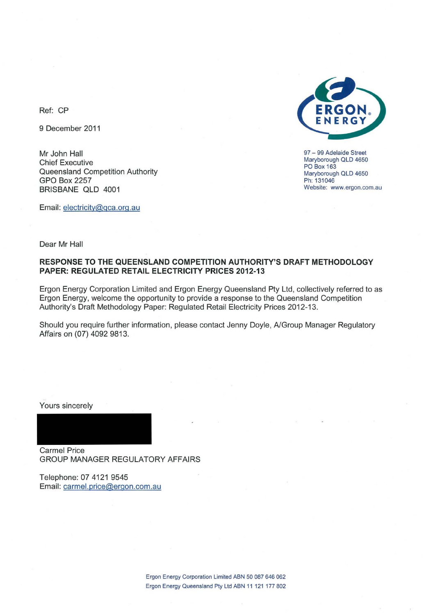

97 - 99 Adelaide Street Maryborough OLD 4650 PO Box 163 Maryborough OLD 4650 Ph: 131046 **Website: www.ergon.com.au** 

Ref: CP

9 December 2011

Mr John Hall Chief Executive Queensland Competition Authority GPO Box 2257 BRISBANE QLD 4001

Email: electricity@gca.org.au

Dear Mr Hall

#### **RESPONSE TO THE QUEENSLAND COMPETITION AUTHORITY'S DRAFT METHODOLOGY PAPER: REGULATED RETAIL ELECTRICITY PRICES 2012·13**

Ergon Energy Corporation Limited and Ergon Energy Queensland Pty Ltd, collectively referred to as Ergon Energy, welcome the opportunity to provide a response to the Queensland Competition Authority's Draft Methodology Paper: Regulated Retail Electricity Prices 2012·13.

Should you require further information, please contact Jenny Doyle, A/Group Manager Regulatory Affairs on (07) 4092 9813.

Yours sincerely

Carmel Price GROUP MANAGER REGULATORY AFFAIRS

Telephone: 07 4121 9545 Email: carmel.price@ergon.com.au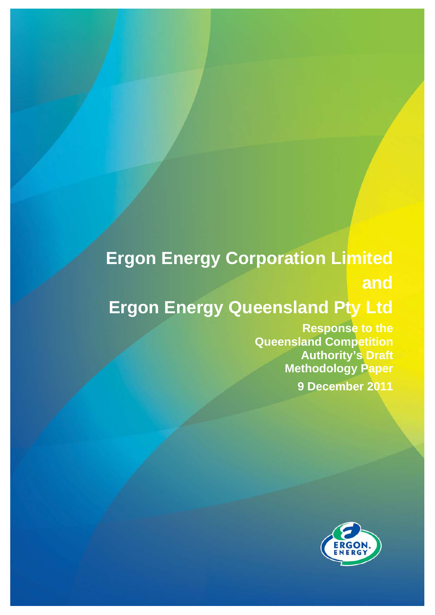## **Ergon Energy Corporation Limited**

**and** 

# **Ergon Energy Queensland Pty Ltd**

**Response to the Queensland Competition Authority's Draft Methodology Paper 9 December 2011**

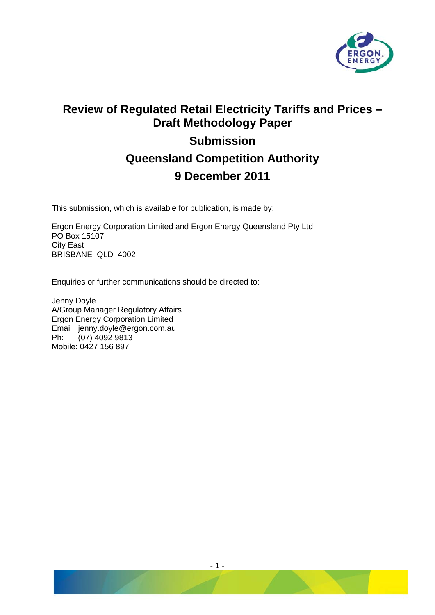

### **Review of Regulated Retail Electricity Tariffs and Prices – Draft Methodology Paper Submission Queensland Competition Authority 9 December 2011**

This submission, which is available for publication, is made by:

Ergon Energy Corporation Limited and Ergon Energy Queensland Pty Ltd PO Box 15107 City East BRISBANE QLD 4002

Enquiries or further communications should be directed to:

Jenny Doyle A/Group Manager Regulatory Affairs Ergon Energy Corporation Limited Email: jenny.doyle@ergon.com.au Ph: (07) 4092 9813 Mobile: 0427 156 897

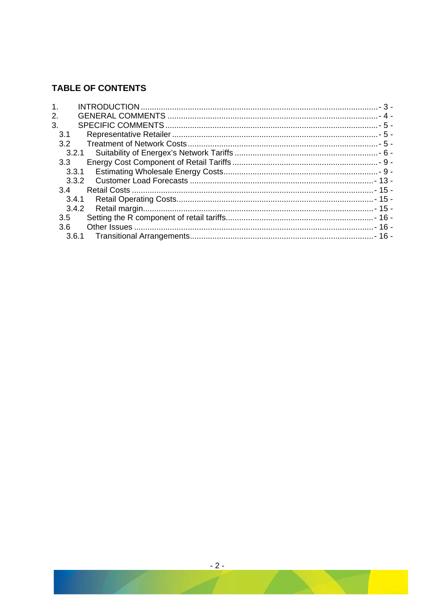### **TABLE OF CONTENTS**

| $\mathbf 1$ .    |       |  |
|------------------|-------|--|
| 2.               |       |  |
| 3.               |       |  |
| 3.1              |       |  |
| 3.2              |       |  |
|                  | 3.2.1 |  |
| 3.3 <sub>1</sub> |       |  |
|                  | 3.3.1 |  |
|                  | 3.3.2 |  |
| 3.4              |       |  |
|                  | 3.4.1 |  |
|                  | 3.4.2 |  |
| 3.5              |       |  |
| 3.6              |       |  |
|                  | 3.6.1 |  |
|                  |       |  |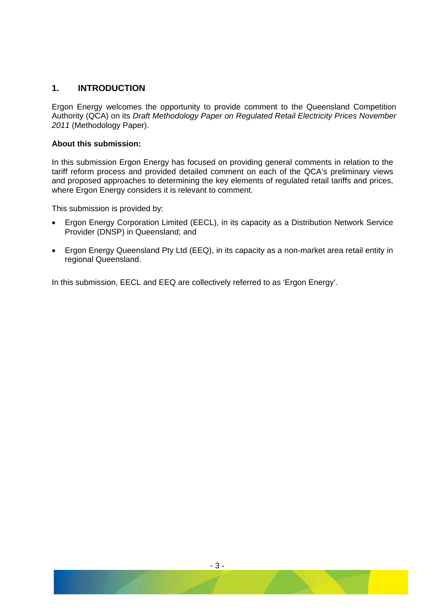#### <span id="page-4-0"></span>**1. INTRODUCTION**

Ergon Energy welcomes the opportunity to provide comment to the Queensland Competition Authority (QCA) on its *Draft Methodology Paper on Regulated Retail Electricity Prices November 2011* (Methodology Paper).

#### **About this submission:**

In this submission Ergon Energy has focused on providing general comments in relation to the tariff reform process and provided detailed comment on each of the QCA's preliminary views and proposed approaches to determining the key elements of regulated retail tariffs and prices, where Ergon Energy considers it is relevant to comment.

This submission is provided by:

- Ergon Energy Corporation Limited (EECL), in its capacity as a Distribution Network Service Provider (DNSP) in Queensland; and
- Ergon Energy Queensland Pty Ltd (EEQ), in its capacity as a non-market area retail entity in regional Queensland.

In this submission, EECL and EEQ are collectively referred to as 'Ergon Energy'.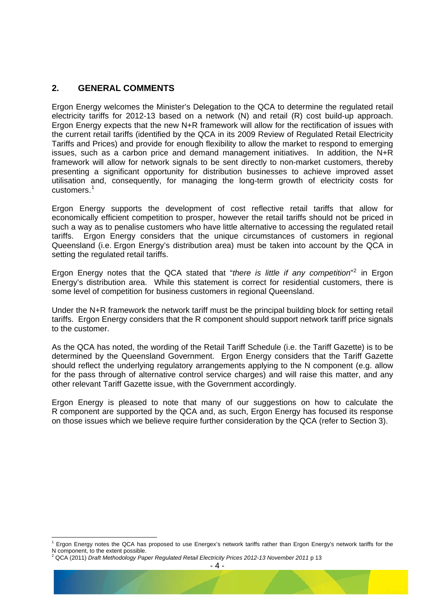#### <span id="page-5-0"></span>**2. GENERAL COMMENTS**

Ergon Energy welcomes the Minister's Delegation to the QCA to determine the regulated retail electricity tariffs for 2012-13 based on a network (N) and retail (R) cost build-up approach. Ergon Energy expects that the new N+R framework will allow for the rectification of issues with the current retail tariffs (identified by the QCA in its 2009 Review of Regulated Retail Electricity Tariffs and Prices) and provide for enough flexibility to allow the market to respond to emerging issues, such as a carbon price and demand management initiatives. In addition, the N+R framework will allow for network signals to be sent directly to non-market customers, thereby presenting a significant opportunity for distribution businesses to achieve improved asset utilisation and, consequently, for managing the long-term growth of electricity costs for customers.[1](#page-5-1)

Ergon Energy supports the development of cost reflective retail tariffs that allow for economically efficient competition to prosper, however the retail tariffs should not be priced in such a way as to penalise customers who have little alternative to accessing the regulated retail tariffs. Ergon Energy considers that the unique circumstances of customers in regional Queensland (i.e. Ergon Energy's distribution area) must be taken into account by the QCA in setting the regulated retail tariffs.

Ergon Energy notes that the QCA stated that "there is little if any competition"<sup>[2](#page-5-2)</sup> in Ergon Energy's distribution area. While this statement is correct for residential customers, there is some level of competition for business customers in regional Queensland.

Under the N+R framework the network tariff must be the principal building block for setting retail tariffs. Ergon Energy considers that the R component should support network tariff price signals to the customer.

As the QCA has noted, the wording of the Retail Tariff Schedule (i.e. the Tariff Gazette) is to be determined by the Queensland Government. Ergon Energy considers that the Tariff Gazette should reflect the underlying regulatory arrangements applying to the N component (e.g. allow for the pass through of alternative control service charges) and will raise this matter, and any other relevant Tariff Gazette issue, with the Government accordingly.

Ergon Energy is pleased to note that many of our suggestions on how to calculate the R component are supported by the QCA and, as such, Ergon Energy has focused its response on those issues which we believe require further consideration by the QCA (refer to Section 3).

-

<span id="page-5-1"></span><sup>1</sup> Ergon Energy notes the QCA has proposed to use Energex's network tariffs rather than Ergon Energy's network tariffs for the N component, to the extent possible.

<span id="page-5-2"></span><sup>2</sup> QCA (2011) *Draft Methodology Paper Regulated Retail Electricity Prices 2012-13 November 2011* p 13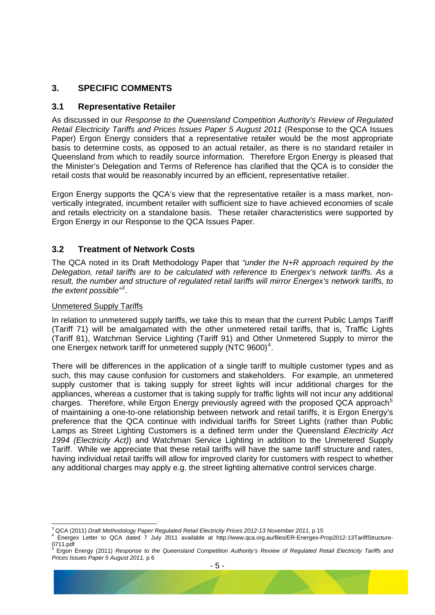#### <span id="page-6-0"></span>**3. SPECIFIC COMMENTS**

#### **3.1 Representative Retailer**

As discussed in our *Response to the Queensland Competition Authority's Review of Regulated Retail Electricity Tariffs and Prices Issues Paper 5 August 2011* (Response to the QCA Issues Paper) Ergon Energy considers that a representative retailer would be the most appropriate basis to determine costs, as opposed to an actual retailer, as there is no standard retailer in Queensland from which to readily source information. Therefore Ergon Energy is pleased that the Minister's Delegation and Terms of Reference has clarified that the QCA is to consider the retail costs that would be reasonably incurred by an efficient, representative retailer.

Ergon Energy supports the QCA's view that the representative retailer is a mass market, nonvertically integrated, incumbent retailer with sufficient size to have achieved economies of scale and retails electricity on a standalone basis. These retailer characteristics were supported by Ergon Energy in our Response to the QCA Issues Paper.

#### **3.2 Treatment of Network Costs**

The QCA noted in its Draft Methodology Paper that *"under the N+R approach required by the Delegation, retail tariffs are to be calculated with reference to Energex's network tariffs. As a result, the number and structure of regulated retail tariffs will mirror Energex's network tariffs, to the extent possible"[3](#page-6-1)* .

#### Unmetered Supply Tariffs

In relation to unmetered supply tariffs, we take this to mean that the current Public Lamps Tariff (Tariff 71) will be amalgamated with the other unmetered retail tariffs, that is, Traffic Lights (Tariff 81), Watchman Service Lighting (Tariff 91) and Other Unmetered Supply to mirror the one Energex network tariff for unmetered supply (NTC 9600)<sup>[4](#page-6-2)</sup>.

There will be differences in the application of a single tariff to multiple customer types and as such, this may cause confusion for customers and stakeholders. For example, an unmetered supply customer that is taking supply for street lights will incur additional charges for the appliances, whereas a customer that is taking supply for traffic lights will not incur any additional charges. Therefore, while Ergon Energy previously agreed with the proposed QCA approach<sup>[5](#page-6-3)</sup> of maintaining a one-to-one relationship between network and retail tariffs, it is Ergon Energy's preference that the QCA continue with individual tariffs for Street Lights (rather than Public Lamps as Street Lighting Customers is a defined term under the Queensland *Electricity Act 1994 (Electricity Act)*) and Watchman Service Lighting in addition to the Unmetered Supply Tariff. While we appreciate that these retail tariffs will have the same tariff structure and rates, having individual retail tariffs will allow for improved clarity for customers with respect to whether any additional charges may apply e.g. the street lighting alternative control services charge.

<span id="page-6-1"></span><sup>&</sup>lt;u>-</u><br><sup>3</sup> QCA (2011) *Draft Methodology Paper Regulated Retail Electricity Prices 2012-13 November 2011, p 15<br><sup>4</sup> Energey Jetter to OCA dated 7, luly 2011 available at http://www.ges.erg.av/files/EB Energey B* 

<span id="page-6-2"></span>Energex Letter to QCA dated 7 July 2011 available at http://www.qca.org.au/files/ER-Energex-Prop2012-13TariffStructure-0711.pdf 5

<span id="page-6-3"></span>Ergon Energy (2011) *Response to the Queensland Competition Authority's Review of Regulated Retail Electricity Tariffs and Prices Issues Paper 5 August 2011,* p 6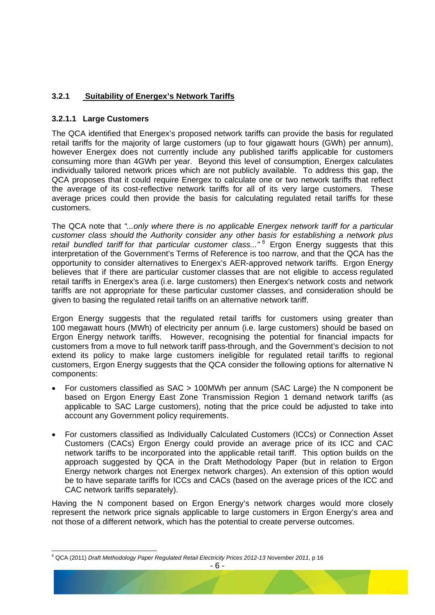#### <span id="page-7-0"></span>**3.2.1 Suitability of Energex's Network Tariffs**

#### **3.2.1.1 Large Customers**

The QCA identified that Energex's proposed network tariffs can provide the basis for regulated retail tariffs for the majority of large customers (up to four gigawatt hours (GWh) per annum), however Energex does not currently include any published tariffs applicable for customers consuming more than 4GWh per year. Beyond this level of consumption, Energex calculates individually tailored network prices which are not publicly available. To address this gap, the QCA proposes that it could require Energex to calculate one or two network tariffs that reflect the average of its cost-reflective network tariffs for all of its very large customers. These average prices could then provide the basis for calculating regulated retail tariffs for these customers.

The QCA note that *"...only where there is no applicable Energex network tariff for a particular customer class should the Authority consider any other basis for establishing a network plus*  retail bundled tariff for that particular customer class..."<sup>[6](#page-7-1)</sup> Ergon Energy suggests that this interpretation of the Government's Terms of Reference is too narrow, and that the QCA has the opportunity to consider alternatives to Energex's AER-approved network tariffs. Ergon Energy believes that if there are particular customer classes that are not eligible to access regulated retail tariffs in Energex's area (i.e. large customers) then Energex's network costs and network tariffs are not appropriate for these particular customer classes, and consideration should be given to basing the regulated retail tariffs on an alternative network tariff.

Ergon Energy suggests that the regulated retail tariffs for customers using greater than 100 megawatt hours (MWh) of electricity per annum (i.e. large customers) should be based on Ergon Energy network tariffs. However, recognising the potential for financial impacts for customers from a move to full network tariff pass-through, and the Government's decision to not extend its policy to make large customers ineligible for regulated retail tariffs to regional customers, Ergon Energy suggests that the QCA consider the following options for alternative N components:

- For customers classified as SAC > 100MWh per annum (SAC Large) the N component be based on Ergon Energy East Zone Transmission Region 1 demand network tariffs (as applicable to SAC Large customers), noting that the price could be adjusted to take into account any Government policy requirements.
- For customers classified as Individually Calculated Customers (ICCs) or Connection Asset Customers (CACs) Ergon Energy could provide an average price of its ICC and CAC network tariffs to be incorporated into the applicable retail tariff. This option builds on the approach suggested by QCA in the Draft Methodology Paper (but in relation to Ergon Energy network charges not Energex network charges). An extension of this option would be to have separate tariffs for ICCs and CACs (based on the average prices of the ICC and CAC network tariffs separately).

Having the N component based on Ergon Energy's network charges would more closely represent the network price signals applicable to large customers in Ergon Energy's area and not those of a different network, which has the potential to create perverse outcomes.

<span id="page-7-1"></span><sup>-</sup>6 QCA (2011) *Draft Methodology Paper Regulated Retail Electricity Prices 2012-13 November 2011*, p 16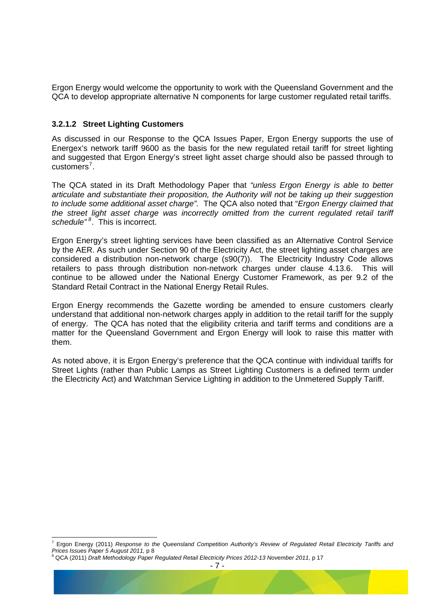Ergon Energy would welcome the opportunity to work with the Queensland Government and the QCA to develop appropriate alternative N components for large customer regulated retail tariffs.

#### **3.2.1.2 Street Lighting Customers**

As discussed in our Response to the QCA Issues Paper, Ergon Energy supports the use of Energex's network tariff 9600 as the basis for the new regulated retail tariff for street lighting and suggested that Ergon Energy's street light asset charge should also be passed through to customers<sup>[7](#page-8-0)</sup>.

The QCA stated in its Draft Methodology Paper that *"unless Ergon Energy is able to better articulate and substantiate their proposition, the Authority will not be taking up their suggestion to include some additional asset charge".* The QCA also noted that "*Ergon Energy claimed that the street light asset charge was incorrectly omitted from the current regulated retail tariff*  schedule<sup>"[8](#page-8-1)</sup>. This is incorrect.

Ergon Energy's street lighting services have been classified as an Alternative Control Service by the AER. As such under Section 90 of the Electricity Act, the street lighting asset charges are considered a distribution non-network charge (s90(7)). The Electricity Industry Code allows retailers to pass through distribution non-network charges under clause 4.13.6. This will continue to be allowed under the National Energy Customer Framework, as per 9.2 of the Standard Retail Contract in the National Energy Retail Rules.

Ergon Energy recommends the Gazette wording be amended to ensure customers clearly understand that additional non-network charges apply in addition to the retail tariff for the supply of energy. The QCA has noted that the eligibility criteria and tariff terms and conditions are a matter for the Queensland Government and Ergon Energy will look to raise this matter with them.

As noted above, it is Ergon Energy's preference that the QCA continue with individual tariffs for Street Lights (rather than Public Lamps as Street Lighting Customers is a defined term under the Electricity Act) and Watchman Service Lighting in addition to the Unmetered Supply Tariff.

-

<span id="page-8-0"></span><sup>7</sup> Ergon Energy (2011) *Response to the Queensland Competition Authority's Review of Regulated Retail Electricity Tariffs and Prices Issues Paper 5 August 2011,* p 8 8

<span id="page-8-1"></span>QCA (2011) *Draft Methodology Paper Regulated Retail Electricity Prices 2012-13 November 2011*, p 17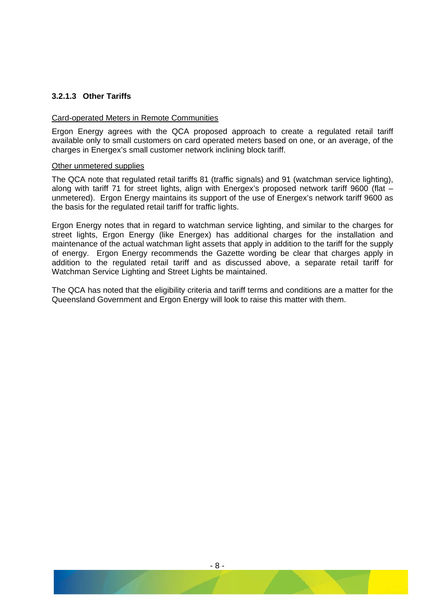#### **3.2.1.3 Other Tariffs**

#### Card-operated Meters in Remote Communities

Ergon Energy agrees with the QCA proposed approach to create a regulated retail tariff available only to small customers on card operated meters based on one, or an average, of the charges in Energex's small customer network inclining block tariff.

#### Other unmetered supplies

The QCA note that regulated retail tariffs 81 (traffic signals) and 91 (watchman service lighting), along with tariff 71 for street lights, align with Energex's proposed network tariff 9600 (flat – unmetered). Ergon Energy maintains its support of the use of Energex's network tariff 9600 as the basis for the regulated retail tariff for traffic lights.

Ergon Energy notes that in regard to watchman service lighting, and similar to the charges for street lights, Ergon Energy (like Energex) has additional charges for the installation and maintenance of the actual watchman light assets that apply in addition to the tariff for the supply of energy. Ergon Energy recommends the Gazette wording be clear that charges apply in addition to the regulated retail tariff and as discussed above, a separate retail tariff for Watchman Service Lighting and Street Lights be maintained.

The QCA has noted that the eligibility criteria and tariff terms and conditions are a matter for the Queensland Government and Ergon Energy will look to raise this matter with them.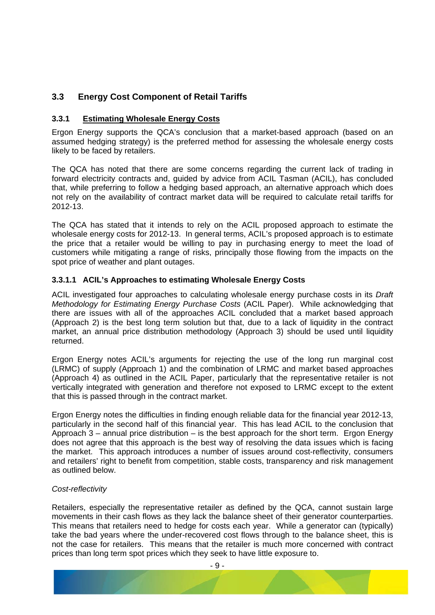#### <span id="page-10-0"></span>**3.3 Energy Cost Component of Retail Tariffs**

#### **3.3.1 Estimating Wholesale Energy Costs**

Ergon Energy supports the QCA's conclusion that a market-based approach (based on an assumed hedging strategy) is the preferred method for assessing the wholesale energy costs likely to be faced by retailers.

The QCA has noted that there are some concerns regarding the current lack of trading in forward electricity contracts and, guided by advice from ACIL Tasman (ACIL), has concluded that, while preferring to follow a hedging based approach, an alternative approach which does not rely on the availability of contract market data will be required to calculate retail tariffs for 2012-13.

The QCA has stated that it intends to rely on the ACIL proposed approach to estimate the wholesale energy costs for 2012-13. In general terms, ACIL's proposed approach is to estimate the price that a retailer would be willing to pay in purchasing energy to meet the load of customers while mitigating a range of risks, principally those flowing from the impacts on the spot price of weather and plant outages.

#### **3.3.1.1 ACIL's Approaches to estimating Wholesale Energy Costs**

ACIL investigated four approaches to calculating wholesale energy purchase costs in its *Draft Methodology for Estimating Energy Purchase Costs* (ACIL Paper). While acknowledging that there are issues with all of the approaches ACIL concluded that a market based approach (Approach 2) is the best long term solution but that, due to a lack of liquidity in the contract market, an annual price distribution methodology (Approach 3) should be used until liquidity returned.

Ergon Energy notes ACIL's arguments for rejecting the use of the long run marginal cost (LRMC) of supply (Approach 1) and the combination of LRMC and market based approaches (Approach 4) as outlined in the ACIL Paper, particularly that the representative retailer is not vertically integrated with generation and therefore not exposed to LRMC except to the extent that this is passed through in the contract market.

Ergon Energy notes the difficulties in finding enough reliable data for the financial year 2012-13, particularly in the second half of this financial year. This has lead ACIL to the conclusion that Approach  $3$  – annual price distribution – is the best approach for the short term. Ergon Energy does not agree that this approach is the best way of resolving the data issues which is facing the market. This approach introduces a number of issues around cost-reflectivity, consumers and retailers' right to benefit from competition, stable costs, transparency and risk management as outlined below.

#### *Cost-reflectivity*

Retailers, especially the representative retailer as defined by the QCA, cannot sustain large movements in their cash flows as they lack the balance sheet of their generator counterparties. This means that retailers need to hedge for costs each year. While a generator can (typically) take the bad years where the under-recovered cost flows through to the balance sheet, this is not the case for retailers. This means that the retailer is much more concerned with contract prices than long term spot prices which they seek to have little exposure to.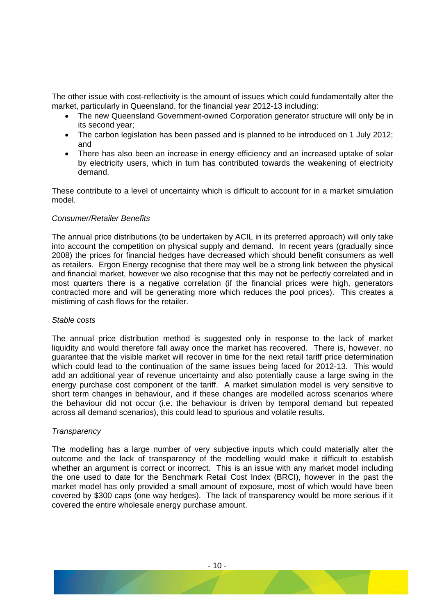The other issue with cost-reflectivity is the amount of issues which could fundamentally alter the market, particularly in Queensland, for the financial year 2012-13 including:

- The new Queensland Government-owned Corporation generator structure will only be in its second year;
- The carbon legislation has been passed and is planned to be introduced on 1 July 2012; and
- There has also been an increase in energy efficiency and an increased uptake of solar by electricity users, which in turn has contributed towards the weakening of electricity demand.

These contribute to a level of uncertainty which is difficult to account for in a market simulation model.

#### *Consumer/Retailer Benefits*

The annual price distributions (to be undertaken by ACIL in its preferred approach) will only take into account the competition on physical supply and demand. In recent years (gradually since 2008) the prices for financial hedges have decreased which should benefit consumers as well as retailers. Ergon Energy recognise that there may well be a strong link between the physical and financial market, however we also recognise that this may not be perfectly correlated and in most quarters there is a negative correlation (if the financial prices were high, generators contracted more and will be generating more which reduces the pool prices). This creates a mistiming of cash flows for the retailer.

#### *Stable costs*

The annual price distribution method is suggested only in response to the lack of market liquidity and would therefore fall away once the market has recovered. There is, however, no guarantee that the visible market will recover in time for the next retail tariff price determination which could lead to the continuation of the same issues being faced for 2012-13. This would add an additional year of revenue uncertainty and also potentially cause a large swing in the energy purchase cost component of the tariff. A market simulation model is very sensitive to short term changes in behaviour, and if these changes are modelled across scenarios where the behaviour did not occur (i.e. the behaviour is driven by temporal demand but repeated across all demand scenarios), this could lead to spurious and volatile results.

#### *Transparency*

The modelling has a large number of very subjective inputs which could materially alter the outcome and the lack of transparency of the modelling would make it difficult to establish whether an argument is correct or incorrect. This is an issue with any market model including the one used to date for the Benchmark Retail Cost Index (BRCI), however in the past the market model has only provided a small amount of exposure, most of which would have been covered by \$300 caps (one way hedges). The lack of transparency would be more serious if it covered the entire wholesale energy purchase amount.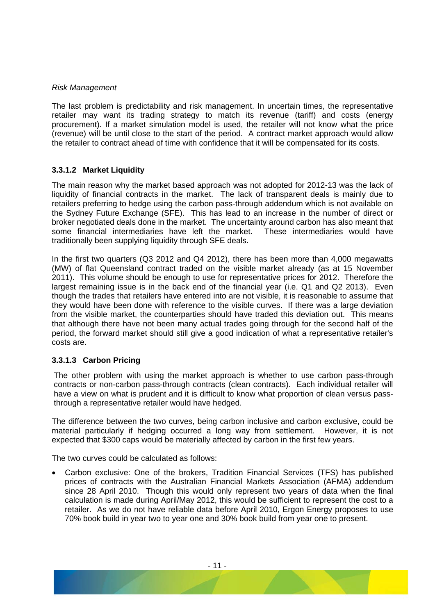#### *Risk Management*

The last problem is predictability and risk management. In uncertain times, the representative retailer may want its trading strategy to match its revenue (tariff) and costs (energy procurement). If a market simulation model is used, the retailer will not know what the price (revenue) will be until close to the start of the period. A contract market approach would allow the retailer to contract ahead of time with confidence that it will be compensated for its costs.

#### **3.3.1.2 Market Liquidity**

The main reason why the market based approach was not adopted for 2012-13 was the lack of liquidity of financial contracts in the market. The lack of transparent deals is mainly due to retailers preferring to hedge using the carbon pass-through addendum which is not available on the Sydney Future Exchange (SFE). This has lead to an increase in the number of direct or broker negotiated deals done in the market. The uncertainty around carbon has also meant that some financial intermediaries have left the market. These intermediaries would have traditionally been supplying liquidity through SFE deals.

In the first two quarters (Q3 2012 and Q4 2012), there has been more than 4,000 megawatts (MW) of flat Queensland contract traded on the visible market already (as at 15 November 2011). This volume should be enough to use for representative prices for 2012. Therefore the largest remaining issue is in the back end of the financial year (i.e. Q1 and Q2 2013). Even though the trades that retailers have entered into are not visible, it is reasonable to assume that they would have been done with reference to the visible curves. If there was a large deviation from the visible market, the counterparties should have traded this deviation out. This means that although there have not been many actual trades going through for the second half of the period, the forward market should still give a good indication of what a representative retailer's costs are.

#### **3.3.1.3 Carbon Pricing**

The other problem with using the market approach is whether to use carbon pass-through contracts or non-carbon pass-through contracts (clean contracts). Each individual retailer will have a view on what is prudent and it is difficult to know what proportion of clean versus passthrough a representative retailer would have hedged.

The difference between the two curves, being carbon inclusive and carbon exclusive, could be material particularly if hedging occurred a long way from settlement. However, it is not expected that \$300 caps would be materially affected by carbon in the first few years.

The two curves could be calculated as follows:

• Carbon exclusive: One of the brokers, Tradition Financial Services (TFS) has published prices of contracts with the Australian Financial Markets Association (AFMA) addendum since 28 April 2010. Though this would only represent two years of data when the final calculation is made during April/May 2012, this would be sufficient to represent the cost to a retailer. As we do not have reliable data before April 2010, Ergon Energy proposes to use 70% book build in year two to year one and 30% book build from year one to present.

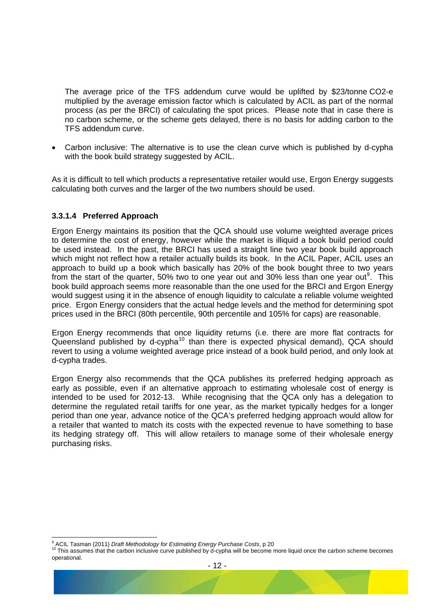The average price of the TFS addendum curve would be uplifted by \$23/tonne CO2-e multiplied by the average emission factor which is calculated by ACIL as part of the normal process (as per the BRCI) of calculating the spot prices. Please note that in case there is no carbon scheme, or the scheme gets delayed, there is no basis for adding carbon to the TFS addendum curve.

• Carbon inclusive: The alternative is to use the clean curve which is published by d-cypha with the book build strategy suggested by ACIL.

As it is difficult to tell which products a representative retailer would use, Ergon Energy suggests calculating both curves and the larger of the two numbers should be used.

#### **3.3.1.4 Preferred Approach**

Ergon Energy maintains its position that the QCA should use volume weighted average prices to determine the cost of energy, however while the market is illiquid a book build period could be used instead. In the past, the BRCI has used a straight line two year book build approach which might not reflect how a retailer actually builds its book. In the ACIL Paper, ACIL uses an approach to build up a book which basically has 20% of the book bought three to two years from the start of the quarter, 50% two to one year out and 30% less than one year out<sup>[9](#page-13-0)</sup>. This book build approach seems more reasonable than the one used for the BRCI and Ergon Energy would suggest using it in the absence of enough liquidity to calculate a reliable volume weighted price. Ergon Energy considers that the actual hedge levels and the method for determining spot prices used in the BRCI (80th percentile, 90th percentile and 105% for caps) are reasonable.

Ergon Energy recommends that once liquidity returns (i.e. there are more flat contracts for Queensland published by d-cypha<sup>[10](#page-13-1)</sup> than there is expected physical demand), QCA should revert to using a volume weighted average price instead of a book build period, and only look at d-cypha trades.

Ergon Energy also recommends that the QCA publishes its preferred hedging approach as early as possible, even if an alternative approach to estimating wholesale cost of energy is intended to be used for 2012-13. While recognising that the QCA only has a delegation to determine the regulated retail tariffs for one year, as the market typically hedges for a longer period than one year, advance notice of the QCA's preferred hedging approach would allow for a retailer that wanted to match its costs with the expected revenue to have something to base its hedging strategy off. This will allow retailers to manage some of their wholesale energy purchasing risks.

-

<span id="page-13-1"></span><span id="page-13-0"></span><sup>&</sup>lt;sup>9</sup> ACIL Tasman (2011) *Draft Methodology for Estimating Energy Purchase Costs*, p 20<br><sup>10</sup> This assumes that the carbon inclusive curve published by d-cypha will be become more liquid once the carbon scheme becomes operational.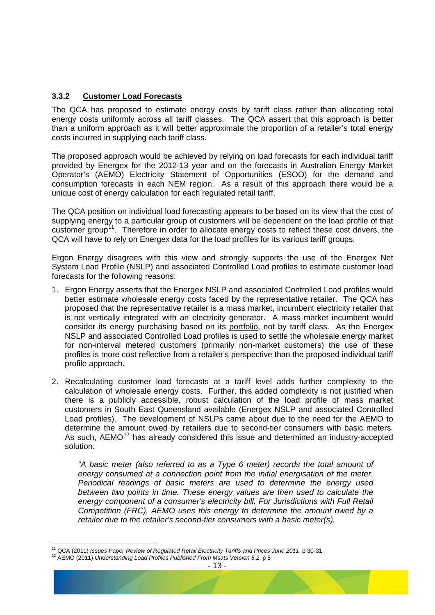#### <span id="page-14-0"></span>**3.3.2 Customer Load Forecasts**

The QCA has proposed to estimate energy costs by tariff class rather than allocating total energy costs uniformly across all tariff classes. The QCA assert that this approach is better than a uniform approach as it will better approximate the proportion of a retailer's total energy costs incurred in supplying each tariff class.

The proposed approach would be achieved by relying on load forecasts for each individual tariff provided by Energex for the 2012-13 year and on the forecasts in Australian Energy Market Operator's (AEMO) Electricity Statement of Opportunities (ESOO) for the demand and consumption forecasts in each NEM region. As a result of this approach there would be a unique cost of energy calculation for each regulated retail tariff.

The QCA position on individual load forecasting appears to be based on its view that the cost of supplying energy to a particular group of customers will be dependent on the load profile of that customer group<sup>[11](#page-14-1)</sup>. Therefore in order to allocate energy costs to reflect these cost drivers, the QCA will have to rely on Energex data for the load profiles for its various tariff groups.

Ergon Energy disagrees with this view and strongly supports the use of the Energex Net System Load Profile (NSLP) and associated Controlled Load profiles to estimate customer load forecasts for the following reasons:

- 1. Ergon Energy asserts that the Energex NSLP and associated Controlled Load profiles would better estimate wholesale energy costs faced by the representative retailer. The QCA has proposed that the representative retailer is a mass market, incumbent electricity retailer that is not vertically integrated with an electricity generator. A mass market incumbent would consider its energy purchasing based on its portfolio, not by tariff class. As the Energex NSLP and associated Controlled Load profiles is used to settle the wholesale energy market for non-interval metered customers (primarily non-market customers) the use of these profiles is more cost reflective from a retailer's perspective than the proposed individual tariff profile approach.
- 2. Recalculating customer load forecasts at a tariff level adds further complexity to the calculation of wholesale energy costs. Further, this added complexity is not justified when there is a publicly accessible, robust calculation of the load profile of mass market customers in South East Queensland available (Energex NSLP and associated Controlled Load profiles). The development of NSLPs came about due to the need for the AEMO to determine the amount owed by retailers due to second-tier consumers with basic meters. As such,  $AEMO<sup>12</sup>$  $AEMO<sup>12</sup>$  $AEMO<sup>12</sup>$  has already considered this issue and determined an industry-accepted solution.

*"A basic meter (also referred to as a Type 6 meter) records the total amount of energy consumed at a connection point from the initial energisation of the meter. Periodical readings of basic meters are used to determine the energy used between two points in time. These energy values are then used to calculate the energy component of a consumer's electricity bill. For Jurisdictions with Full Retail Competition (FRC), AEMO uses this energy to determine the amount owed by a retailer due to the retailer's second-tier consumers with a basic meter(s).* 

<span id="page-14-1"></span> $\overline{a}$ <sup>11</sup> QCA (2011) *Issues Paper Review of Regulated Retail Electricity Tariffs and Prices June 2011*, p 30-31<br><sup>12</sup> AEMO (2011) *Understanding Load Profiles Published From Msats Version 5.2*, p 5

<span id="page-14-2"></span>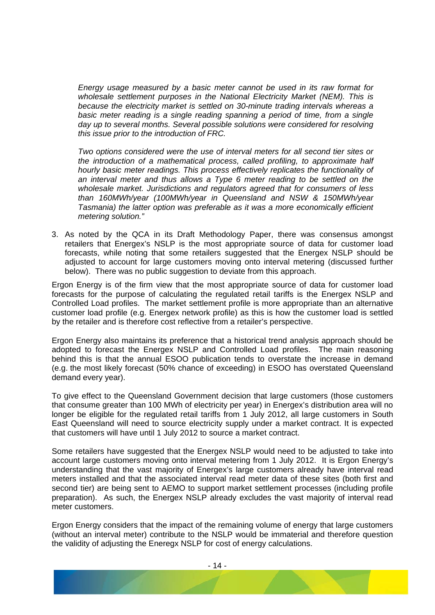*Energy usage measured by a basic meter cannot be used in its raw format for wholesale settlement purposes in the National Electricity Market (NEM). This is because the electricity market is settled on 30-minute trading intervals whereas a basic meter reading is a single reading spanning a period of time, from a single day up to several months. Several possible solutions were considered for resolving this issue prior to the introduction of FRC.* 

*Two options considered were the use of interval meters for all second tier sites or the introduction of a mathematical process, called profiling, to approximate half hourly basic meter readings. This process effectively replicates the functionality of an interval meter and thus allows a Type 6 meter reading to be settled on the wholesale market. Jurisdictions and regulators agreed that for consumers of less than 160MWh/year (100MWh/year in Queensland and NSW & 150MWh/year Tasmania) the latter option was preferable as it was a more economically efficient metering solution."* 

3. As noted by the QCA in its Draft Methodology Paper, there was consensus amongst retailers that Energex's NSLP is the most appropriate source of data for customer load forecasts, while noting that some retailers suggested that the Energex NSLP should be adjusted to account for large customers moving onto interval metering (discussed further below). There was no public suggestion to deviate from this approach.

Ergon Energy is of the firm view that the most appropriate source of data for customer load forecasts for the purpose of calculating the regulated retail tariffs is the Energex NSLP and Controlled Load profiles. The market settlement profile is more appropriate than an alternative customer load profile (e.g. Energex network profile) as this is how the customer load is settled by the retailer and is therefore cost reflective from a retailer's perspective.

Ergon Energy also maintains its preference that a historical trend analysis approach should be adopted to forecast the Energex NSLP and Controlled Load profiles. The main reasoning behind this is that the annual ESOO publication tends to overstate the increase in demand (e.g. the most likely forecast (50% chance of exceeding) in ESOO has overstated Queensland demand every year).

To give effect to the Queensland Government decision that large customers (those customers that consume greater than 100 MWh of electricity per year) in Energex's distribution area will no longer be eligible for the regulated retail tariffs from 1 July 2012, all large customers in South East Queensland will need to source electricity supply under a market contract. It is expected that customers will have until 1 July 2012 to source a market contract.

Some retailers have suggested that the Energex NSLP would need to be adjusted to take into account large customers moving onto interval metering from 1 July 2012. It is Ergon Energy's understanding that the vast majority of Energex's large customers already have interval read meters installed and that the associated interval read meter data of these sites (both first and second tier) are being sent to AEMO to support market settlement processes (including profile preparation). As such, the Energex NSLP already excludes the vast majority of interval read meter customers.

Ergon Energy considers that the impact of the remaining volume of energy that large customers (without an interval meter) contribute to the NSLP would be immaterial and therefore question the validity of adjusting the Eneregx NSLP for cost of energy calculations.

- 14 -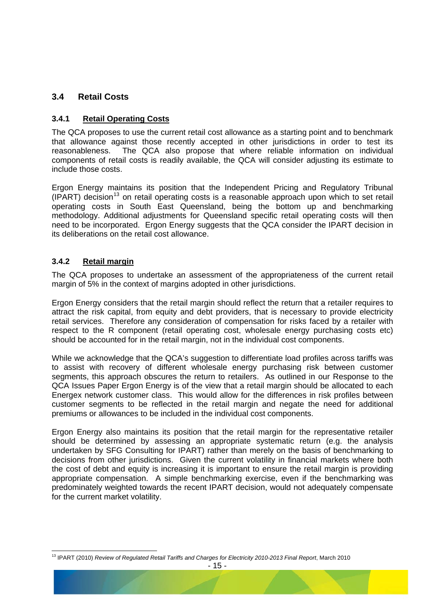#### <span id="page-16-0"></span>**3.4 Retail Costs**

#### **3.4.1 Retail Operating Costs**

The QCA proposes to use the current retail cost allowance as a starting point and to benchmark that allowance against those recently accepted in other jurisdictions in order to test its reasonableness. The QCA also propose that where reliable information on individual components of retail costs is readily available, the QCA will consider adjusting its estimate to include those costs.

Ergon Energy maintains its position that the Independent Pricing and Regulatory Tribunal  $(IPART)$  decision<sup>[13](#page-16-1)</sup> on retail operating costs is a reasonable approach upon which to set retail operating costs in South East Queensland, being the bottom up and benchmarking methodology. Additional adjustments for Queensland specific retail operating costs will then need to be incorporated. Ergon Energy suggests that the QCA consider the IPART decision in its deliberations on the retail cost allowance.

#### **3.4.2 Retail margin**

The QCA proposes to undertake an assessment of the appropriateness of the current retail margin of 5% in the context of margins adopted in other jurisdictions.

Ergon Energy considers that the retail margin should reflect the return that a retailer requires to attract the risk capital, from equity and debt providers, that is necessary to provide electricity retail services. Therefore any consideration of compensation for risks faced by a retailer with respect to the R component (retail operating cost, wholesale energy purchasing costs etc) should be accounted for in the retail margin, not in the individual cost components.

While we acknowledge that the QCA's suggestion to differentiate load profiles across tariffs was to assist with recovery of different wholesale energy purchasing risk between customer segments, this approach obscures the return to retailers. As outlined in our Response to the QCA Issues Paper Ergon Energy is of the view that a retail margin should be allocated to each Energex network customer class. This would allow for the differences in risk profiles between customer segments to be reflected in the retail margin and negate the need for additional premiums or allowances to be included in the individual cost components.

Ergon Energy also maintains its position that the retail margin for the representative retailer should be determined by assessing an appropriate systematic return (e.g. the analysis undertaken by SFG Consulting for IPART) rather than merely on the basis of benchmarking to decisions from other jurisdictions. Given the current volatility in financial markets where both the cost of debt and equity is increasing it is important to ensure the retail margin is providing appropriate compensation. A simple benchmarking exercise, even if the benchmarking was predominately weighted towards the recent IPART decision, would not adequately compensate for the current market volatility.

<span id="page-16-1"></span><sup>-</sup>13 IPART (2010) *Review of Regulated Retail Tariffs and Charges for Electricity 2010-2013 Final Report*, March 2010